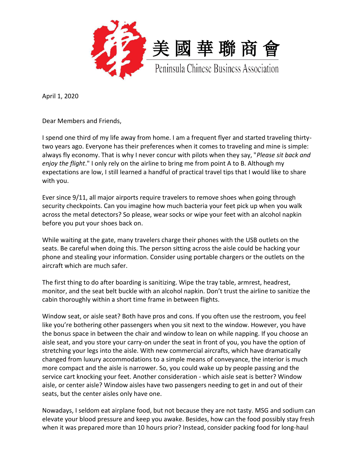

April 1, 2020

Dear Members and Friends,

I spend one third of my life away from home. I am a frequent flyer and started traveling thirtytwo years ago. Everyone has their preferences when it comes to traveling and mine is simple: always fly economy. That is why I never concur with pilots when they say, "*Please sit back and enjoy the flight*." I only rely on the airline to bring me from point A to B. Although my expectations are low, I still learned a handful of practical travel tips that I would like to share with you.

Ever since 9/11, all major airports require travelers to remove shoes when going through security checkpoints. Can you imagine how much bacteria your feet pick up when you walk across the metal detectors? So please, wear socks or wipe your feet with an alcohol napkin before you put your shoes back on.

While waiting at the gate, many travelers charge their phones with the USB outlets on the seats. Be careful when doing this. The person sitting across the aisle could be hacking your phone and stealing your information. Consider using portable chargers or the outlets on the aircraft which are much safer.

The first thing to do after boarding is sanitizing. Wipe the tray table, armrest, headrest, monitor, and the seat belt buckle with an alcohol napkin. Don't trust the airline to sanitize the cabin thoroughly within a short time frame in between flights.

Window seat, or aisle seat? Both have pros and cons. If you often use the restroom, you feel like you're bothering other passengers when you sit next to the window. However, you have the bonus space in between the chair and window to lean on while napping. If you choose an aisle seat, and you store your carry-on under the seat in front of you, you have the option of stretching your legs into the aisle. With new commercial aircrafts, which have dramatically changed from luxury accommodations to a simple means of conveyance, the interior is much more compact and the aisle is narrower. So, you could wake up by people passing and the service cart knocking your feet. Another consideration - which aisle seat is better? Window aisle, or center aisle? Window aisles have two passengers needing to get in and out of their seats, but the center aisles only have one.

Nowadays, I seldom eat airplane food, but not because they are not tasty. MSG and sodium can elevate your blood pressure and keep you awake. Besides, how can the food possibly stay fresh when it was prepared more than 10 hours prior? Instead, consider packing food for long-haul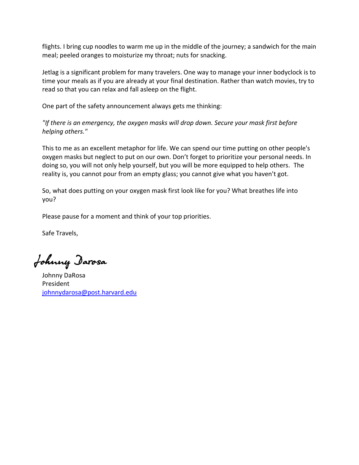flights. I bring cup noodles to warm me up in the middle of the journey; a sandwich for the main meal; peeled oranges to moisturize my throat; nuts for snacking.

Jetlag is a significant problem for many travelers. One way to manage your inner bodyclock is to time your meals as if you are already at your final destination. Rather than watch movies, try to read so that you can relax and fall asleep on the flight.

One part of the safety announcement always gets me thinking:

*"If there is an emergency, the oxygen masks will drop down. Secure your mask first before helping others."* 

This to me as an excellent metaphor for life. We can spend our time putting on other people's oxygen masks but neglect to put on our own. Don't forget to prioritize your personal needs. In doing so, you will not only help yourself, but you will be more equipped to help others. The reality is, you cannot pour from an empty glass; you cannot give what you haven't got.

So, what does putting on your oxygen mask first look like for you? What breathes life into you?

Please pause for a moment and think of your top priorities.

Safe Travels,

Johnny Darosa

Johnny DaRosa President [johnnydarosa@post.harvard.edu](mailto:johnnydarosa@post.harvard.edu)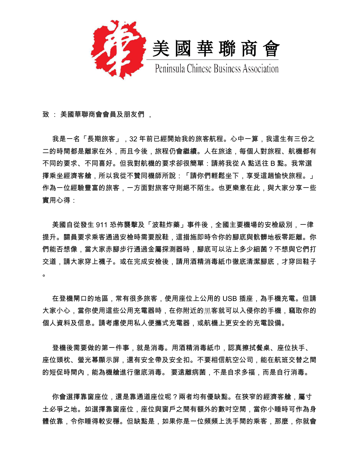

致 : 美國華聯商會會員及朋友們 ,

 我是一名「長期旅客」,32 年前已經開始我的旅客航程。心中一算,我這生有三份之 二的時間都是離家在外,而且今後,旅程仍會繼續。人在旅途,每個人對旅程、航機都有 不同的要求、不同喜好。但我對航機的要求卻很簡單:請將我從 A 點送往 B 點。我常選 擇乘坐經濟客艙,所以我從不贊同機師所說:「請你們輕鬆坐下,享受這趟愉快旅程。」 作為一位經驗豐富的旅客,一方面對旅客守則絕不陌生。也更樂意在此,與大家分享一些 實用心得:

 美國自從發生 911 恐佈襲擊及「波鞋炸藥」事件後,全國主要機場的安檢級別,一律 提升。關員要求乘客通過安檢時需要脫鞋,這措施即時令你的腳底與骯髒地板零距離。你 們能否想像,當大家赤腳步行通過金屬探測器時,腳底可以沾上多少細菌?不想與它們打 交道,請大家穿上襪子。或在完成安檢後,請用酒精消毒紙巾徹底清潔腳底,才穿回鞋子  $\circ$ 

 在登機閘口的地區,常有很多旅客,使用座位上公用的 USB 插座,為手機充電。但請 大家小心,當你使用這些公用充電器時,在你附近的黑客就可以入侵你的手機,竊取你的 個人資料及信息。請考慮使用私人便攜式充電器,或航機上更安全的充電設備。

登機後需要做的第一件事,就是消毒。用酒精消毒紙巾,認真擦拭餐桌、座位扶手、 座位頭枕、螢光幕顯示屏,還有安全帶及安全扣。不要相信航空公司,能在航班交替之間 的短促時間內,能為機艙進行徹底消毒。 要遠離病菌,不是自求多福,而是自行消毒。

你會選擇靠窗座位,還是靠通道座位呢?兩者均有優缺點。在狹窄的經濟客艙,屬寸 土必爭之地。如選擇靠窗座位,座位與窗戶之間有額外的數吋空間,當你小睡時可作為身 體依靠,令你睡得較安穩。但缺點是,如果你是一位頻頻上洗手間的乘客,那麼,你就會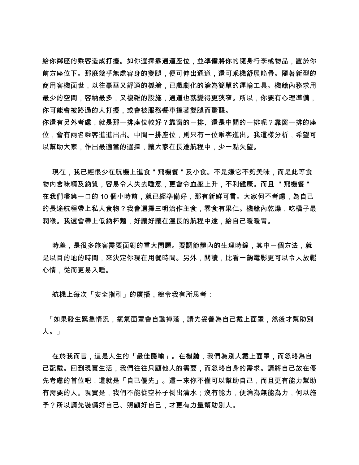給你鄰座的乘客造成打擾。如你選擇靠通道座位,並凖備將你的隨身行李或物品,置於你 前方座位下。那麼幾乎無處容身的雙腿,便可伸出通道,還可乘機舒展筋骨。隨著新型的 商用客機面世,以往豪華又舒適的機艙,已戲劇化的淪為簡單的運輸工具。機艙內務求用 最少的空間,容納最多,又複雜的設施,通道也就變得更狹窄。所以,你要有心理凖備, 你可能會被路過的人打擾,或會被服務餐車撞著雙腿而驚醒。

你還有另外考慮,就是那一排座位較好?靠窗的一排、還是中間的一排呢?靠窗一排的座 位,會有兩名乘客進出出。中間一排座位,則只有一位乘客進出。我這樣分析,希望可 以幫助大家,作出最適當的選擇,讓大家在長途航程中,少一點失望。

現在,我已經很少在航機上進食 " 飛機餐 " 及小食。不是嫌它不夠美味,而是此等食 物内含味精及鈉質,容易令人失去睡意,更會令血壓上升,不利健康。而且 "飛機餐" 在我們嚐第一口的 10 個小時前,就已經凖備好,那有新鮮可言。大家何不考慮,為自己 的長途航程帶上私人食物?我會選擇三明治作主食,零食有果仁。機艙內乾燥,吃橘子最 潤喉。我還會帶上低鈉杯麵,好讓好讓在漫長的航程中途,給自己暖暖胃。

時差,是很多旅客需要面對的重大問題。要調節體內的生理時鐘,其中一個方法,就 是以目的地的時間,來決定你現在用餐時間。另外,閱讀,比看一齣電影更可以令人放鬆 心情,從而更易入睡。

航機上每次「安全指引」的廣播,總令我有所思考:

「如果發生緊急情況,氧氣面罩會自動掉落,請先妥善為自己戴上面罩,然後才幫助別 人。」

 在於我而言,這是人生的「最佳隱喻」。在機艙,我們為別人戴上面罩,而忽略為自 己配戴。回到現實生活,我們往往只顧他人的需要,而忽略自身的需求。請將自己放在優 先考慮的首位吧,這就是「自己優先」。這一來你不僅可以幫助自己,而且更有能力幫助 有需要的人。現實是,我們不能從空杯子倒出清水;沒有能力,便淪為無能為力,何以施 予?所以請先裝備好自己、照顧好自己,才更有力量幫助別人。